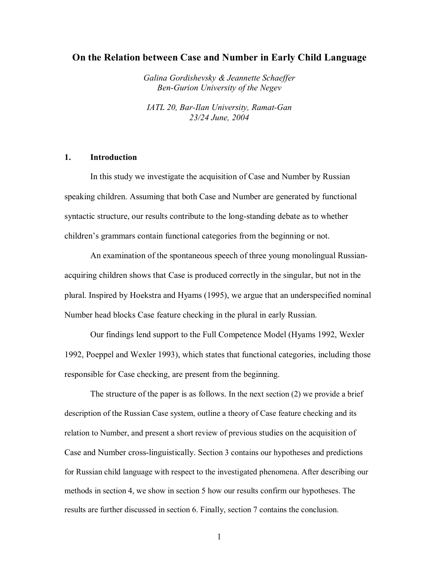# **On the Relation between Case and Number in Early Child Language**

*Galina Gordishevsky & Jeannette Schaeffer Ben-Gurion University of the Negev* 

*IATL 20, Bar-Ilan University, Ramat-Gan 23/24 June, 2004* 

# **1. Introduction**

In this study we investigate the acquisition of Case and Number by Russian speaking children. Assuming that both Case and Number are generated by functional syntactic structure, our results contribute to the long-standing debate as to whether children's grammars contain functional categories from the beginning or not.

An examination of the spontaneous speech of three young monolingual Russianacquiring children shows that Case is produced correctly in the singular, but not in the plural. Inspired by Hoekstra and Hyams (1995), we argue that an underspecified nominal Number head blocks Case feature checking in the plural in early Russian.

Our findings lend support to the Full Competence Model (Hyams 1992, Wexler 1992, Poeppel and Wexler 1993), which states that functional categories, including those responsible for Case checking, are present from the beginning.

The structure of the paper is as follows. In the next section (2) we provide a brief description of the Russian Case system, outline a theory of Case feature checking and its relation to Number, and present a short review of previous studies on the acquisition of Case and Number cross-linguistically. Section 3 contains our hypotheses and predictions for Russian child language with respect to the investigated phenomena. After describing our methods in section 4, we show in section 5 how our results confirm our hypotheses. The results are further discussed in section 6. Finally, section 7 contains the conclusion.

1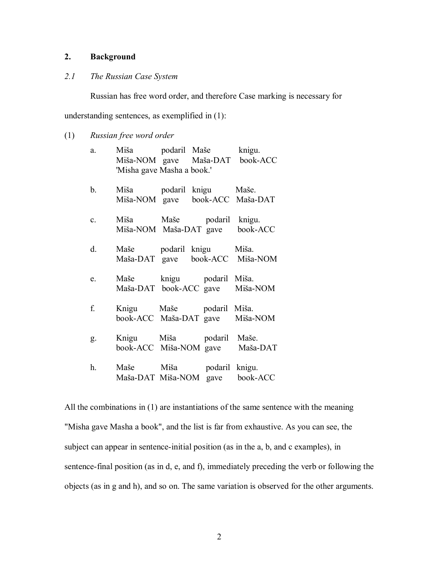# **2. Background**

# *2.1 The Russian Case System*

Russian has free word order, and therefore Case marking is necessary for

understanding sentences, as exemplified in (1):

(1) *Russian free word order*

| a.          | Miša podaril Maše knigu.<br>'Misha gave Masha a book.'      |  | Miša-NOM gave Maša-DAT book-ACC |
|-------------|-------------------------------------------------------------|--|---------------------------------|
| b.          | Miša podaril knigu Maše.                                    |  | Miša-NOM gave book-ACC Maša-DAT |
| $c_{\cdot}$ | Miša Maše podaril knigu.                                    |  | Miša-NOM Maša-DAT gave book-ACC |
| d.          | Maše podaril knigu Miša.                                    |  | Maša-DAT gave book-ACC Miša-NOM |
| e.          | Maše knigu podaril Miša.                                    |  | Maša-DAT book-ACC gave Miša-NOM |
| f.          | Knigu Maše podaril Miša.                                    |  | book-ACC Maša-DAT gave Miša-NOM |
| g.          | Knigu Miša podaril Maše.                                    |  | book-ACC Miša-NOM gave Maša-DAT |
| h.          | Maše Miša podaril knigu.<br>Maša-DAT Miša-NOM gave book-ACC |  |                                 |

All the combinations in (1) are instantiations of the same sentence with the meaning "Misha gave Masha a book", and the list is far from exhaustive. As you can see, the subject can appear in sentence-initial position (as in the a, b, and c examples), in sentence-final position (as in d, e, and f), immediately preceding the verb or following the objects (as in g and h), and so on. The same variation is observed for the other arguments.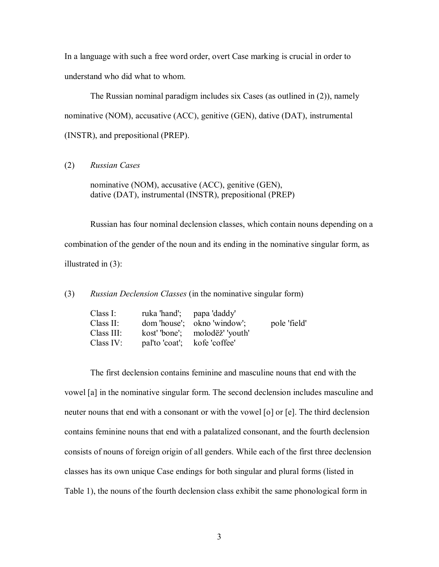In a language with such a free word order, overt Case marking is crucial in order to understand who did what to whom.

 The Russian nominal paradigm includes six Cases (as outlined in (2)), namely nominative (NOM), accusative (ACC), genitive (GEN), dative (DAT), instrumental (INSTR), and prepositional (PREP).

(2) *Russian Cases*

nominative (NOM), accusative (ACC), genitive (GEN), dative (DAT), instrumental (INSTR), prepositional (PREP)

Russian has four nominal declension classes, which contain nouns depending on a combination of the gender of the noun and its ending in the nominative singular form, as illustrated in (3):

(3) *Russian Declension Classes* (in the nominative singular form)

| Class I:    | ruka 'hand'; papa 'daddy'    |                               |              |
|-------------|------------------------------|-------------------------------|--------------|
| Class II:   |                              | dom 'house'; okno 'window';   | pole 'field' |
| Class III:  |                              | kosť "bone"; moloděž" 'youth' |              |
| Class $IV:$ | pal'to 'coat'; kofe 'coffee' |                               |              |

The first declension contains feminine and masculine nouns that end with the vowel [a] in the nominative singular form. The second declension includes masculine and neuter nouns that end with a consonant or with the vowel [o] or [e]. The third declension contains feminine nouns that end with a palatalized consonant, and the fourth declension consists of nouns of foreign origin of all genders. While each of the first three declension classes has its own unique Case endings for both singular and plural forms (listed in Table 1), the nouns of the fourth declension class exhibit the same phonological form in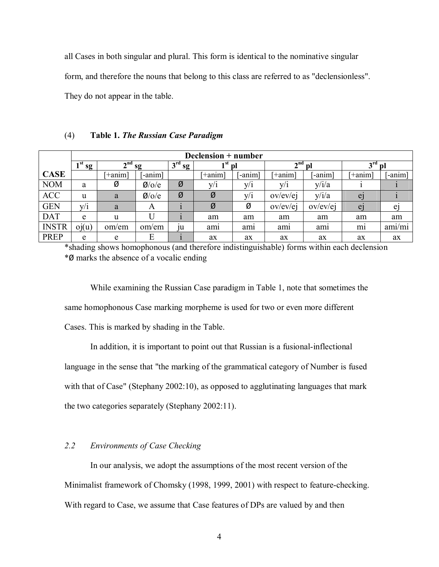all Cases in both singular and plural. This form is identical to the nominative singular form, and therefore the nouns that belong to this class are referred to as "declensionless". They do not appear in the table.

|              |            | Declension + number |                    |                       |                  |         |                               |          |                 |                |
|--------------|------------|---------------------|--------------------|-----------------------|------------------|---------|-------------------------------|----------|-----------------|----------------|
|              | 1 st<br>sg | $\mathbf{A}$ nd     | sg                 | 3 <sup>rd</sup><br>sg | ⊣st              | D       | $\boldsymbol{\gamma}$ nd<br>∠ | DI       | 3 <sup>rd</sup> | `Dl            |
| <b>CASE</b>  |            | $+$ anim $ $        | $-annm$            |                       | $+$ anim $\vert$ | $-annm$ | <i>i</i> +anim]               | -anim    | $ \pm$ anim $ $ | -anim          |
| <b>NOM</b>   | a          | Ø                   | $\varnothing$ /o/e | Ø                     | V/1              | y/i     | y/1                           | y/i/a    |                 |                |
| <b>ACC</b>   | u          | a                   | $\varnothing$ /o/e | Ø                     | Ø                | y/i     | ov/ev/ej                      | y/i/a    | ej              |                |
| <b>GEN</b>   | V/1        | a                   | A                  |                       | Ø                | Ø       | $\frac{\text{ov}}{\text{ev}}$ | ov/ev/ej | e <sub>1</sub>  | e <sub>1</sub> |
| <b>DAT</b>   | e          | u                   |                    |                       | am               | am      | am                            | am       | am              | am             |
| <b>INSTR</b> | oi(u)      | om/em               | om/em              | $\mathfrak{u}$        | am               | am      | ami                           | ami      | m <sub>1</sub>  | ami/mi         |
| <b>PREP</b>  | e          | e                   | E                  |                       | ax               | ax      | ax                            | ax       | ax              | ax             |

(4) **Table 1.** *The Russian Case Paradigm*

\*shading shows homophonous (and therefore indistinguishable) forms within each declension \*Ø marks the absence of a vocalic ending

While examining the Russian Case paradigm in Table 1, note that sometimes the same homophonous Case marking morpheme is used for two or even more different Cases. This is marked by shading in the Table.

In addition, it is important to point out that Russian is a fusional-inflectional language in the sense that "the marking of the grammatical category of Number is fused with that of Case" (Stephany 2002:10), as opposed to agglutinating languages that mark the two categories separately (Stephany 2002:11).

# *2.2 Environments of Case Checking*

In our analysis, we adopt the assumptions of the most recent version of the Minimalist framework of Chomsky (1998, 1999, 2001) with respect to feature-checking. With regard to Case, we assume that Case features of DPs are valued by and then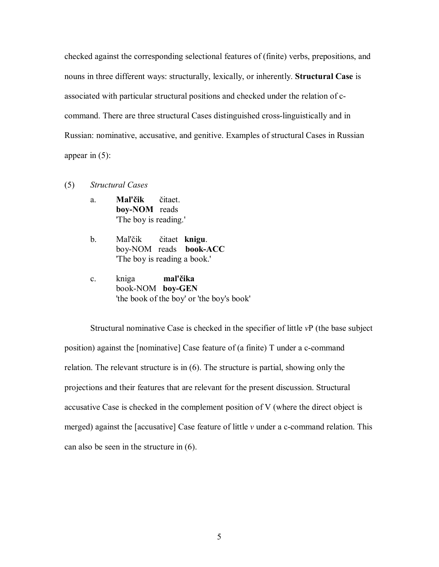checked against the corresponding selectional features of (finite) verbs, prepositions, and nouns in three different ways: structurally, lexically, or inherently. **Structural Case** is associated with particular structural positions and checked under the relation of ccommand. There are three structural Cases distinguished cross-linguistically and in Russian: nominative, accusative, and genitive. Examples of structural Cases in Russian appear in  $(5)$ :

- (5) *Structural Cases* 
	- a. **Mal'čik** čitaet. **boy-NOM** reads 'The boy is reading.'
	- b. Mal'čik čitaet **knigu**. boy-NOM reads **book-ACC** 'The boy is reading a book.'
	- c. kniga **mal'čika** book-NOM **boy-GEN** 'the book of the boy' or 'the boy's book'

Structural nominative Case is checked in the specifier of little *v*P (the base subject position) against the [nominative] Case feature of (a finite) T under a c-command relation. The relevant structure is in (6). The structure is partial, showing only the projections and their features that are relevant for the present discussion. Structural accusative Case is checked in the complement position of V (where the direct object is merged) against the [accusative] Case feature of little *v* under a c-command relation. This can also be seen in the structure in (6).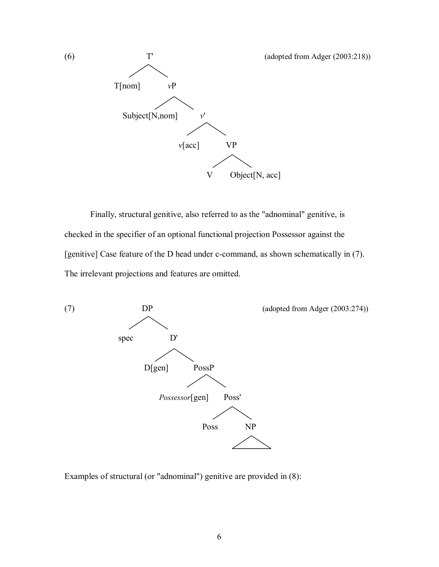

Finally, structural genitive, also referred to as the "adnominal" genitive, is checked in the specifier of an optional functional projection Possessor against the [genitive] Case feature of the D head under c-command, as shown schematically in (7). The irrelevant projections and features are omitted.



Examples of structural (or "adnominal") genitive are provided in (8):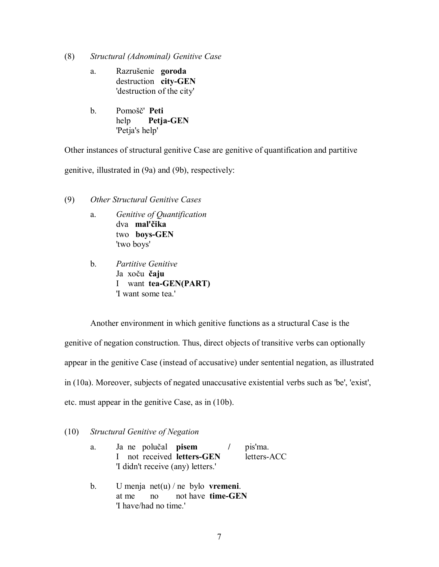- (8) *Structural (Adnominal) Genitive Case*
	- a. Razrušenie **goroda** destruction **city-GEN** 'destruction of the city'
	- b. Pomošč' **Peti** help **Petja-GEN**  'Petja's help'

Other instances of structural genitive Case are genitive of quantification and partitive

genitive, illustrated in (9a) and (9b), respectively:

- (9) *Other Structural Genitive Cases* 
	- a. *Genitive of Quantification* dva **mal'čika** two **boys-GEN** 'two boys'
	- b. *Partitive Genitive*  Ja xoču **čaju** I want **tea-GEN(PART)**  'I want some tea.'

Another environment in which genitive functions as a structural Case is the genitive of negation construction. Thus, direct objects of transitive verbs can optionally appear in the genitive Case (instead of accusative) under sentential negation, as illustrated in (10a). Moreover, subjects of negated unaccusative existential verbs such as 'be', 'exist', etc. must appear in the genitive Case, as in (10b).

# (10) *Structural Genitive of Negation*

| a. | Ja ne polučal <b>pisem</b>        | pis'ma.     |
|----|-----------------------------------|-------------|
|    | I not received letters-GEN        | letters-ACC |
|    | 'I didn't receive (any) letters.' |             |
|    |                                   |             |

 b. U menja net(u) / ne bylo **vremeni**. at me no not have **time-GEN** 'I have/had no time.'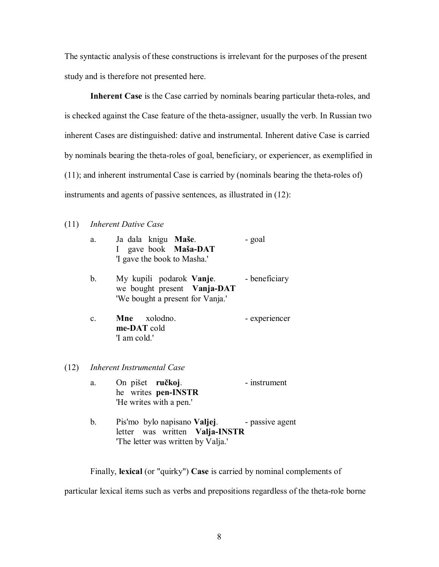The syntactic analysis of these constructions is irrelevant for the purposes of the present study and is therefore not presented here.

**Inherent Case** is the Case carried by nominals bearing particular theta-roles, and is checked against the Case feature of the theta-assigner, usually the verb. In Russian two inherent Cases are distinguished: dative and instrumental. Inherent dative Case is carried by nominals bearing the theta-roles of goal, beneficiary, or experiencer, as exemplified in (11); and inherent instrumental Case is carried by (nominals bearing the theta-roles of) instruments and agents of passive sentences, as illustrated in (12):

# (11) *Inherent Dative Case*

 $(12)$ 

|      | a.             | Ja dala knigu Maše.<br>I gave book Maša-DAT<br>'I gave the book to Masha.'                                 | - goal          |
|------|----------------|------------------------------------------------------------------------------------------------------------|-----------------|
|      | b.             | My kupili podarok Vanje.<br>we bought present Vanja-DAT<br>'We bought a present for Vanja.'                | - beneficiary   |
|      | $\mathbf{c}$ . | Mne xolodno.<br>me-DAT cold<br>'I am cold.'                                                                | - experiencer   |
| (12) |                | <b>Inherent Instrumental Case</b>                                                                          |                 |
|      | a.             | On pišet ručkoj.<br>he writes pen-INSTR<br>'He writes with a pen.'                                         | - instrument    |
|      | b.             | Pis'mo bylo napisano <b>Valjej</b> .<br>letter was written Valja-INSTR<br>The letter was written by Valja. | - passive agent |

Finally, **lexical** (or "quirky") **Case** is carried by nominal complements of

particular lexical items such as verbs and prepositions regardless of the theta-role borne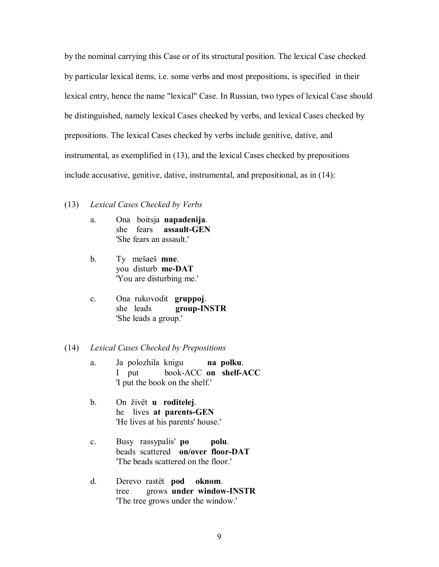by the nominal carrying this Case or of its structural position. The lexical Case checked by particular lexical items, i.e. some verbs and most prepositions, is specified in their lexical entry, hence the name "lexical" Case. In Russian, two types of lexical Case should be distinguished, namely lexical Cases checked by verbs, and lexical Cases checked by prepositions. The lexical Cases checked by verbs include genitive, dative, and instrumental, as exemplified in (13), and the lexical Cases checked by prepositions include accusative, genitive, dative, instrumental, and prepositional, as in (14):

#### (13) *Lexical Cases Checked by Verbs*

- a. Ona boitsja **napadenija**. she fears **assault-GEN** 'She fears an assault.'
- b. Ty mešaeš **mne**. you disturb **me-DAT** 'You are disturbing me.'
- c. Ona rukovodit **gruppoj**. she leads **group-INSTR** 'She leads a group.'

### (14) *Lexical Cases Checked by Prepositions*

- a. Ja polozhila knigu **na polku**. I put book-ACC **on shelf-ACC** 'I put the book on the shelf.'
- b. On živët **u roditelej**. he lives **at parents-GEN** 'He lives at his parents' house.'
- c. Busy rassypalis' **po polu**. beads scattered **on/over floor-DAT** 'The beads scattered on the floor.'
- d. Derevo rastët **pod oknom**. tree grows **under window-INSTR** 'The tree grows under the window.'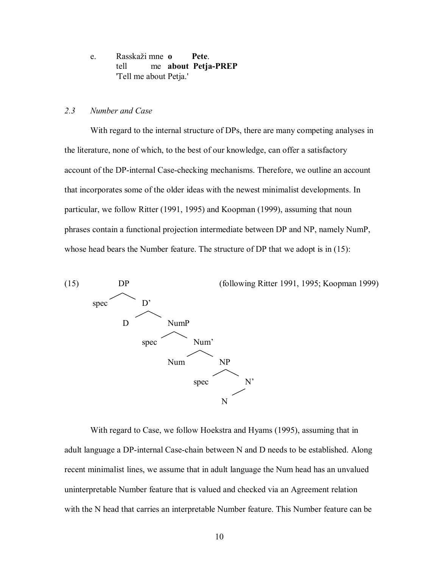e. Rasskaži mne **o Pete**. tell me **about Petja-PREP** 'Tell me about Petja.'

## *2.3 Number and Case*

With regard to the internal structure of DPs, there are many competing analyses in the literature, none of which, to the best of our knowledge, can offer a satisfactory account of the DP-internal Case-checking mechanisms. Therefore, we outline an account that incorporates some of the older ideas with the newest minimalist developments. In particular, we follow Ritter (1991, 1995) and Koopman (1999), assuming that noun phrases contain a functional projection intermediate between DP and NP, namely NumP, whose head bears the Number feature. The structure of DP that we adopt is in (15):



With regard to Case, we follow Hoekstra and Hyams (1995), assuming that in adult language a DP-internal Case-chain between N and D needs to be established. Along recent minimalist lines, we assume that in adult language the Num head has an unvalued uninterpretable Number feature that is valued and checked via an Agreement relation with the N head that carries an interpretable Number feature. This Number feature can be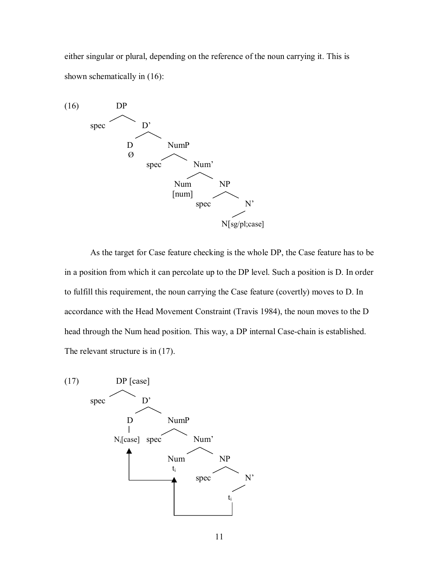either singular or plural, depending on the reference of the noun carrying it. This is shown schematically in (16):



As the target for Case feature checking is the whole DP, the Case feature has to be in a position from which it can percolate up to the DP level. Such a position is D. In order to fulfill this requirement, the noun carrying the Case feature (covertly) moves to D. In accordance with the Head Movement Constraint (Travis 1984), the noun moves to the D head through the Num head position. This way, a DP internal Case-chain is established. The relevant structure is in  $(17)$ .

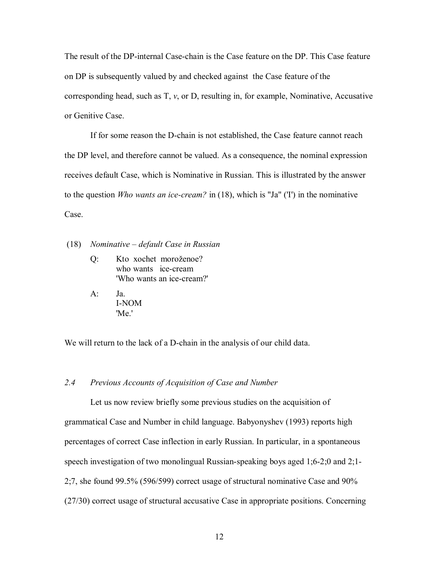The result of the DP-internal Case-chain is the Case feature on the DP. This Case feature on DP is subsequently valued by and checked against the Case feature of the corresponding head, such as  $T$ ,  $\nu$ , or  $D$ , resulting in, for example, Nominative, Accusative or Genitive Case.

If for some reason the D-chain is not established, the Case feature cannot reach the DP level, and therefore cannot be valued. As a consequence, the nominal expression receives default Case, which is Nominative in Russian. This is illustrated by the answer to the question *Who wants an ice-cream?* in (18), which is "Ja" ('I') in the nominative Case.

#### (18) *Nominative – default Case in Russian*

- Q: Kto xochet moroženoe? who wants ice-cream 'Who wants an ice-cream?'
- A: Ja. I-NOM 'Me'

We will return to the lack of a D-chain in the analysis of our child data.

# *2.4 Previous Accounts of Acquisition of Case and Number*

Let us now review briefly some previous studies on the acquisition of grammatical Case and Number in child language. Babyonyshev (1993) reports high percentages of correct Case inflection in early Russian. In particular, in a spontaneous speech investigation of two monolingual Russian-speaking boys aged 1;6-2;0 and 2;1- 2;7, she found 99.5% (596/599) correct usage of structural nominative Case and 90% (27/30) correct usage of structural accusative Case in appropriate positions. Concerning

12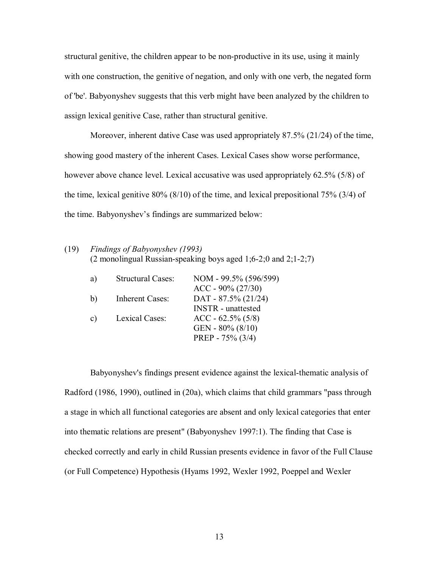structural genitive, the children appear to be non-productive in its use, using it mainly with one construction, the genitive of negation, and only with one verb, the negated form of 'be'. Babyonyshev suggests that this verb might have been analyzed by the children to assign lexical genitive Case, rather than structural genitive.

Moreover, inherent dative Case was used appropriately 87.5% (21/24) of the time, showing good mastery of the inherent Cases. Lexical Cases show worse performance, however above chance level. Lexical accusative was used appropriately 62.5% (5/8) of the time, lexical genitive 80% (8/10) of the time, and lexical prepositional 75% (3/4) of the time. Babyonyshev's findings are summarized below:

# (19) *Findings of Babyonyshev (1993)* (2 monolingual Russian-speaking boys aged 1;6-2;0 and 2;1-2;7)

| a) | <b>Structural Cases:</b> | NOM - 99.5% (596/599)<br>$ACC - 90\% (27/30)$       |
|----|--------------------------|-----------------------------------------------------|
| b) | Inherent Cases:          | DAT - $87.5\%$ (21/24)<br><b>INSTR</b> - unattested |
| C) | Lexical Cases:           | $ACC - 62.5\% (5/8)$<br>GEN - $80\%$ ( $8/10$ )     |
|    |                          | PREP - $75\%$ (3/4)                                 |

Babyonyshev's findings present evidence against the lexical-thematic analysis of Radford (1986, 1990), outlined in (20a), which claims that child grammars "pass through a stage in which all functional categories are absent and only lexical categories that enter into thematic relations are present" (Babyonyshev 1997:1). The finding that Case is checked correctly and early in child Russian presents evidence in favor of the Full Clause (or Full Competence) Hypothesis (Hyams 1992, Wexler 1992, Poeppel and Wexler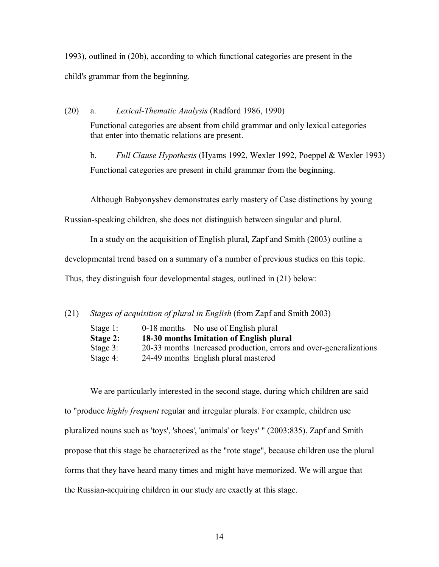1993), outlined in (20b), according to which functional categories are present in the child's grammar from the beginning.

(20) a. *Lexical-Thematic Analysis* (Radford 1986, 1990)

Functional categories are absent from child grammar and only lexical categories that enter into thematic relations are present.

b. *Full Clause Hypothesis* (Hyams 1992, Wexler 1992, Poeppel & Wexler 1993) Functional categories are present in child grammar from the beginning.

Although Babyonyshev demonstrates early mastery of Case distinctions by young

Russian-speaking children, she does not distinguish between singular and plural.

In a study on the acquisition of English plural, Zapf and Smith (2003) outline a

developmental trend based on a summary of a number of previous studies on this topic.

Thus, they distinguish four developmental stages, outlined in (21) below:

(21) *Stages of acquisition of plural in English* (from Zapf and Smith 2003)

| Stage $1$ : | 0-18 months No use of English plural                               |
|-------------|--------------------------------------------------------------------|
| Stage 2:    | 18-30 months Imitation of English plural                           |
| Stage $3$ : | 20-33 months Increased production, errors and over-generalizations |
| Stage 4:    | 24-49 months English plural mastered                               |

We are particularly interested in the second stage, during which children are said to "produce *highly frequent* regular and irregular plurals. For example, children use pluralized nouns such as 'toys', 'shoes', 'animals' or 'keys' " (2003:835). Zapf and Smith propose that this stage be characterized as the "rote stage", because children use the plural forms that they have heard many times and might have memorized. We will argue that the Russian-acquiring children in our study are exactly at this stage.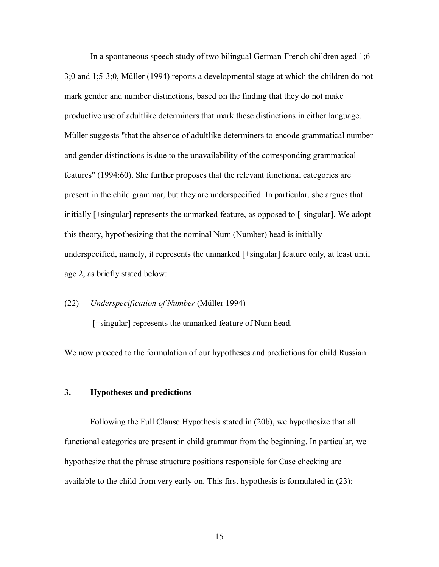In a spontaneous speech study of two bilingual German-French children aged 1;6- 3;0 and 1;5-3;0, Müller (1994) reports a developmental stage at which the children do not mark gender and number distinctions, based on the finding that they do not make productive use of adultlike determiners that mark these distinctions in either language. Müller suggests "that the absence of adultlike determiners to encode grammatical number and gender distinctions is due to the unavailability of the corresponding grammatical features" (1994:60). She further proposes that the relevant functional categories are present in the child grammar, but they are underspecified. In particular, she argues that initially [+singular] represents the unmarked feature, as opposed to [-singular]. We adopt this theory, hypothesizing that the nominal Num (Number) head is initially underspecified, namely, it represents the unmarked [+singular] feature only, at least until age 2, as briefly stated below:

### (22) *Underspecification of Number* (Müller 1994)

[+singular] represents the unmarked feature of Num head.

We now proceed to the formulation of our hypotheses and predictions for child Russian.

### **3. Hypotheses and predictions**

Following the Full Clause Hypothesis stated in (20b), we hypothesize that all functional categories are present in child grammar from the beginning. In particular, we hypothesize that the phrase structure positions responsible for Case checking are available to the child from very early on. This first hypothesis is formulated in (23):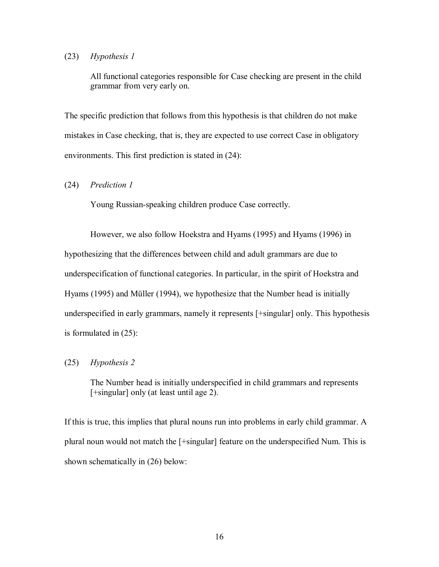## (23) *Hypothesis 1*

All functional categories responsible for Case checking are present in the child grammar from very early on.

The specific prediction that follows from this hypothesis is that children do not make mistakes in Case checking, that is, they are expected to use correct Case in obligatory environments. This first prediction is stated in (24):

## (24) *Prediction 1*

Young Russian-speaking children produce Case correctly.

However, we also follow Hoekstra and Hyams (1995) and Hyams (1996) in hypothesizing that the differences between child and adult grammars are due to underspecification of functional categories. In particular, in the spirit of Hoekstra and Hyams (1995) and Müller (1994), we hypothesize that the Number head is initially underspecified in early grammars, namely it represents [+singular] only. This hypothesis is formulated in (25):

## (25) *Hypothesis 2*

The Number head is initially underspecified in child grammars and represents [+singular] only (at least until age 2).

If this is true, this implies that plural nouns run into problems in early child grammar. A plural noun would not match the [+singular] feature on the underspecified Num. This is shown schematically in (26) below: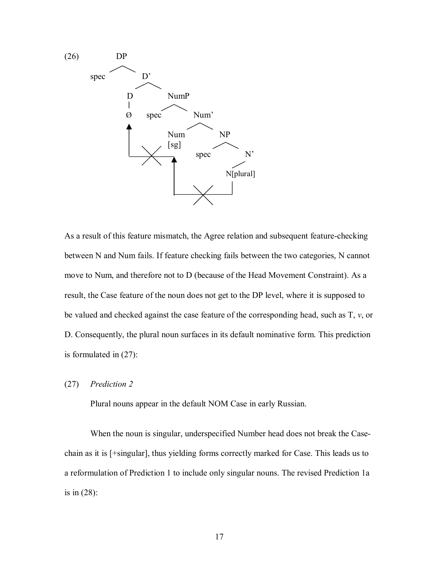

As a result of this feature mismatch, the Agree relation and subsequent feature-checking between N and Num fails. If feature checking fails between the two categories, N cannot move to Num, and therefore not to D (because of the Head Movement Constraint). As a result, the Case feature of the noun does not get to the DP level, where it is supposed to be valued and checked against the case feature of the corresponding head, such as T, *v*, or D. Consequently, the plural noun surfaces in its default nominative form. This prediction is formulated in (27):

(27) *Prediction 2*

Plural nouns appear in the default NOM Case in early Russian.

When the noun is singular, underspecified Number head does not break the Casechain as it is [+singular], thus yielding forms correctly marked for Case. This leads us to a reformulation of Prediction 1 to include only singular nouns. The revised Prediction 1a is in (28):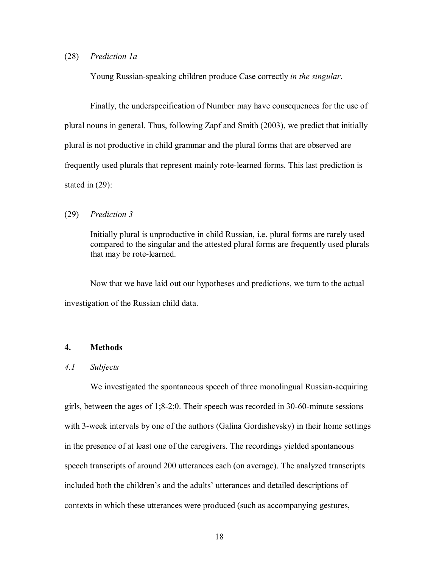#### (28) *Prediction 1a*

Young Russian-speaking children produce Case correctly *in the singular*.

Finally, the underspecification of Number may have consequences for the use of plural nouns in general. Thus, following Zapf and Smith (2003), we predict that initially plural is not productive in child grammar and the plural forms that are observed are frequently used plurals that represent mainly rote-learned forms. This last prediction is stated in (29):

### (29) *Prediction 3*

Initially plural is unproductive in child Russian, i.e. plural forms are rarely used compared to the singular and the attested plural forms are frequently used plurals that may be rote-learned.

 Now that we have laid out our hypotheses and predictions, we turn to the actual investigation of the Russian child data.

## **4. Methods**

## *4.1 Subjects*

 We investigated the spontaneous speech of three monolingual Russian-acquiring girls, between the ages of 1;8-2;0. Their speech was recorded in 30-60-minute sessions with 3-week intervals by one of the authors (Galina Gordishevsky) in their home settings in the presence of at least one of the caregivers. The recordings yielded spontaneous speech transcripts of around 200 utterances each (on average). The analyzed transcripts included both the children's and the adults' utterances and detailed descriptions of contexts in which these utterances were produced (such as accompanying gestures,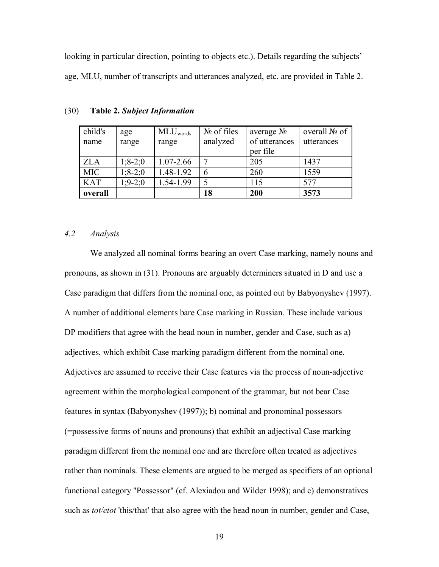looking in particular direction, pointing to objects etc.). Details regarding the subjects' age, MLU, number of transcripts and utterances analyzed, etc. are provided in Table 2.

| child's    | age         | MLU <sub>words</sub> | $N_2$ of files | average $N_2$ | overall $N_2$ of |
|------------|-------------|----------------------|----------------|---------------|------------------|
| name       | range       | range                | analyzed       | of utterances | utterances       |
|            |             |                      |                | per file      |                  |
| <b>ZLA</b> | $1; 8-2; 0$ | 1.07-2.66            |                | 205           | 1437             |
| <b>MIC</b> | $1; 8-2; 0$ | 1.48-1.92            |                | 260           | 1559             |
| <b>KAT</b> | $1:9-2:0$   | 1.54-1.99            |                | 115           | 577              |
| overall    |             |                      | 18             | 200           | 3573             |

(30) **Table 2.** *Subject Information* 

## *4.2 Analysis*

 We analyzed all nominal forms bearing an overt Case marking, namely nouns and pronouns, as shown in (31). Pronouns are arguably determiners situated in D and use a Case paradigm that differs from the nominal one, as pointed out by Babyonyshev (1997). A number of additional elements bare Case marking in Russian. These include various DP modifiers that agree with the head noun in number, gender and Case, such as a) adjectives, which exhibit Case marking paradigm different from the nominal one. Adjectives are assumed to receive their Case features via the process of noun-adjective agreement within the morphological component of the grammar, but not bear Case features in syntax (Babyonyshev (1997)); b) nominal and pronominal possessors (=possessive forms of nouns and pronouns) that exhibit an adjectival Case marking paradigm different from the nominal one and are therefore often treated as adjectives rather than nominals. These elements are argued to be merged as specifiers of an optional functional category "Possessor" (cf. Alexiadou and Wilder 1998); and c) demonstratives such as *tot/etot* 'this/that' that also agree with the head noun in number, gender and Case,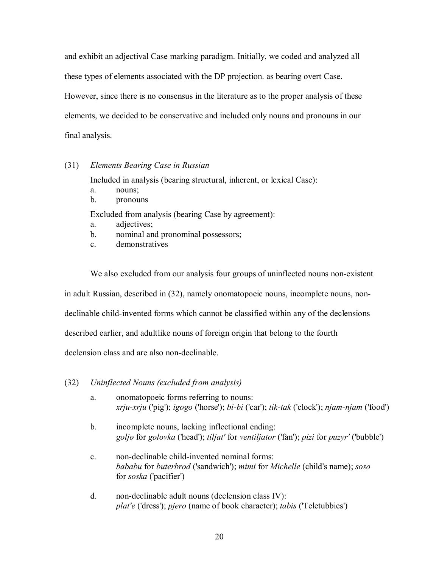and exhibit an adjectival Case marking paradigm. Initially, we coded and analyzed all these types of elements associated with the DP projection. as bearing overt Case. However, since there is no consensus in the literature as to the proper analysis of these elements, we decided to be conservative and included only nouns and pronouns in our final analysis.

## (31) *Elements Bearing Case in Russian*

Included in analysis (bearing structural, inherent, or lexical Case):

- a. nouns;
- b. pronouns

Excluded from analysis (bearing Case by agreement):

- a. adjectives;
- b. nominal and pronominal possessors;
- c. demonstratives

We also excluded from our analysis four groups of uninflected nouns non-existent in adult Russian, described in (32), namely onomatopoeic nouns, incomplete nouns, nondeclinable child-invented forms which cannot be classified within any of the declensions described earlier, and adultlike nouns of foreign origin that belong to the fourth declension class and are also non-declinable.

- (32) *Uninflected Nouns (excluded from analysis)*
	- a. onomatopoeic forms referring to nouns: *xrju-xrju* ('pig'); *igogo* ('horse'); *bi-bi* ('car'); *tik-tak* ('clock'); *njam-njam* ('food')
	- b. incomplete nouns, lacking inflectional ending: *goljo* for *golovka* ('head'); *tiljat'* for *ventiljator* ('fan'); *pizi* for *puzyr'* ('bubble')
	- c. non-declinable child-invented nominal forms: *bababu* for *buterbrod* ('sandwich'); *mimi* for *Michelle* (child's name); *soso* for *soska* ('pacifier')
	- d. non-declinable adult nouns (declension class IV): *plat'e* ('dress'); *pjero* (name of book character); *tabis* ('Teletubbies')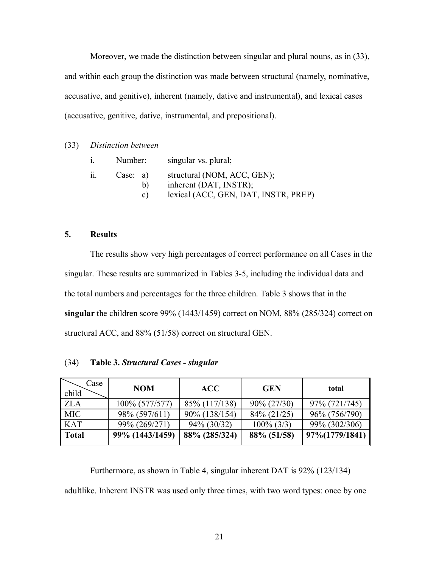Moreover, we made the distinction between singular and plural nouns, as in (33), and within each group the distinction was made between structural (namely, nominative, accusative, and genitive), inherent (namely, dative and instrumental), and lexical cases (accusative, genitive, dative, instrumental, and prepositional).

## (33) *Distinction between*

| Number:              | singular vs. plural;                                                                          |
|----------------------|-----------------------------------------------------------------------------------------------|
| Case: a)<br>b)<br>C) | structural (NOM, ACC, GEN);<br>inherent (DAT, INSTR);<br>lexical (ACC, GEN, DAT, INSTR, PREP) |

# **5. Results**

The results show very high percentages of correct performance on all Cases in the singular. These results are summarized in Tables 3-5, including the individual data and the total numbers and percentages for the three children. Table 3 shows that in the **singular** the children score 99% (1443/1459) correct on NOM, 88% (285/324) correct on structural ACC, and 88% (51/58) correct on structural GEN.

| Case<br>child | <b>NOM</b>      | <b>ACC</b>     | <b>GEN</b>     | total          |
|---------------|-----------------|----------------|----------------|----------------|
| <b>ZLA</b>    | 100% (577/577)  | 85% (117/138)  | $90\% (27/30)$ | 97% (721/745)  |
| <b>MIC</b>    | 98% (597/611)   | 90% (138/154)  | $84\% (21/25)$ | 96% (756/790)  |
| <b>KAT</b>    | 99% (269/271)   | $94\% (30/32)$ | $100\%$ (3/3)  | 99% (302/306)  |
| Total         | 99% (1443/1459) | 88% (285/324)  | 88% (51/58)    | 97%(1779/1841) |

## (34) **Table 3.** *Structural Cases - singular*

Furthermore, as shown in Table 4, singular inherent DAT is 92% (123/134) adultlike. Inherent INSTR was used only three times, with two word types: once by one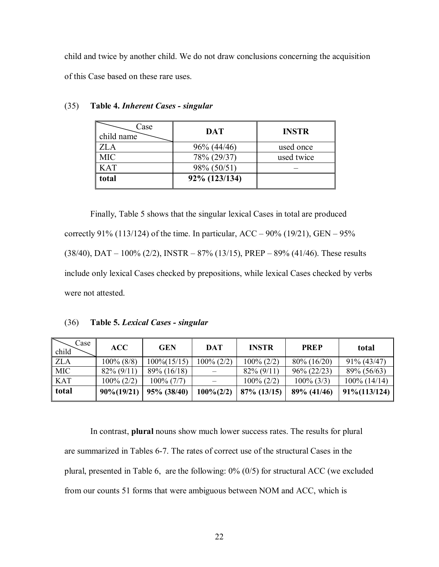child and twice by another child. We do not draw conclusions concerning the acquisition of this Case based on these rare uses.

| Case<br>child name | <b>DAT</b>     | <b>INSTR</b> |
|--------------------|----------------|--------------|
| <b>ZLA</b>         | $96\% (44/46)$ | used once    |
| <b>MIC</b>         | 78% (29/37)    | used twice   |
| <b>KAT</b>         | 98% (50/51)    |              |
| total              | 92% (123/134)  |              |

#### (35) **Table 4.** *Inherent Cases - singular*

Finally, Table 5 shows that the singular lexical Cases in total are produced correctly 91% (113/124) of the time. In particular, ACC – 90% (19/21), GEN – 95%  $(38/40)$ , DAT – 100%  $(2/2)$ , INSTR – 87%  $(13/15)$ , PREP – 89%  $(41/46)$ . These results include only lexical Cases checked by prepositions, while lexical Cases checked by verbs were not attested.

## (36) **Table 5.** *Lexical Cases - singular*

| Case<br>child | ACC            | <b>GEN</b>      | DAT           | <b>INSTR</b>   | <b>PREP</b>    | total            |
|---------------|----------------|-----------------|---------------|----------------|----------------|------------------|
| <b>ZLA</b>    | $100\%$ (8/8)  | $100\% (15/15)$ | $100\% (2/2)$ | $100\% (2/2)$  | $80\% (16/20)$ | $91\% (43/47)$   |
| <b>MIC</b>    | $82\% (9/11)$  | $89\% (16/18)$  |               | $82\% (9/11)$  | $96\% (22/23)$ | 89% (56/63)      |
| <b>KAT</b>    | $100\% (2/2)$  | $100\% (7/7)$   |               | $100\% (2/2)$  | $100\%$ (3/3)  | $100\%$ (14/14)  |
| total         | $90\% (19/21)$ | 95% (38/40)     | $100\% (2/2)$ | $87\%$ (13/15) | 89% (41/46)    | $91\% (113/124)$ |

In contrast, **plural** nouns show much lower success rates. The results for plural are summarized in Tables 6-7. The rates of correct use of the structural Cases in the plural, presented in Table 6, are the following: 0% (0/5) for structural ACC (we excluded from our counts 51 forms that were ambiguous between NOM and ACC, which is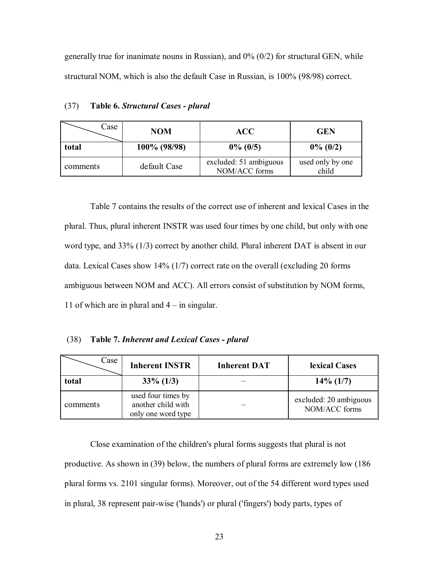generally true for inanimate nouns in Russian), and  $0\%$  ( $0/2$ ) for structural GEN, while structural NOM, which is also the default Case in Russian, is 100% (98/98) correct.

| Case     | NOM          | <b>ACC</b>                              | <b>GEN</b>                |
|----------|--------------|-----------------------------------------|---------------------------|
| total    | 100% (98/98) | $0\%$ (0/5)                             | $0\%$ (0/2)               |
| comments | default Case | excluded: 51 ambiguous<br>NOM/ACC forms | used only by one<br>child |

(37) **Table 6.** *Structural Cases - plural*

Table 7 contains the results of the correct use of inherent and lexical Cases in the plural. Thus, plural inherent INSTR was used four times by one child, but only with one word type, and 33% (1/3) correct by another child. Plural inherent DAT is absent in our data. Lexical Cases show 14% (1/7) correct rate on the overall (excluding 20 forms ambiguous between NOM and ACC). All errors consist of substitution by NOM forms, 11 of which are in plural and  $4 - in$  singular.

## (38) **Table 7.** *Inherent and Lexical Cases - plural*

| Case     | <b>Inherent INSTR</b>                                          | <b>Inherent DAT</b> | lexical Cases                           |
|----------|----------------------------------------------------------------|---------------------|-----------------------------------------|
| total    | $33\% (1/3)$                                                   |                     | $14\%$ (1/7)                            |
| comments | used four times by<br>another child with<br>only one word type |                     | excluded: 20 ambiguous<br>NOM/ACC forms |

 Close examination of the children's plural forms suggests that plural is not productive. As shown in (39) below, the numbers of plural forms are extremely low (186 plural forms vs. 2101 singular forms). Moreover, out of the 54 different word types used in plural, 38 represent pair-wise ('hands') or plural ('fingers') body parts, types of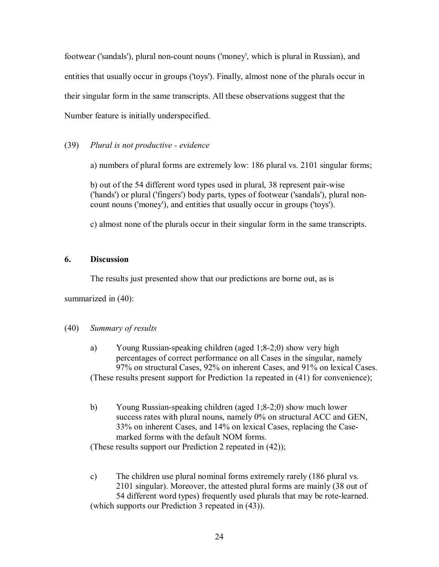footwear ('sandals'), plural non-count nouns ('money', which is plural in Russian), and entities that usually occur in groups ('toys'). Finally, almost none of the plurals occur in their singular form in the same transcripts. All these observations suggest that the Number feature is initially underspecified.

# (39) *Plural is not productive - evidence*

a) numbers of plural forms are extremely low: 186 plural vs. 2101 singular forms;

b) out of the 54 different word types used in plural, 38 represent pair-wise ('hands') or plural ('fingers') body parts, types of footwear ('sandals'), plural noncount nouns ('money'), and entities that usually occur in groups ('toys').

c) almost none of the plurals occur in their singular form in the same transcripts.

# **6. Discussion**

The results just presented show that our predictions are borne out, as is

summarized in (40):

# (40) *Summary of results*

- a) Young Russian-speaking children (aged 1;8-2;0) show very high percentages of correct performance on all Cases in the singular, namely 97% on structural Cases, 92% on inherent Cases, and 91% on lexical Cases. (These results present support for Prediction 1a repeated in (41) for convenience);
- b) Young Russian-speaking children (aged 1;8-2;0) show much lower success rates with plural nouns, namely 0% on structural ACC and GEN, 33% on inherent Cases, and 14% on lexical Cases, replacing the Casemarked forms with the default NOM forms.

(These results support our Prediction 2 repeated in (42));

c) The children use plural nominal forms extremely rarely (186 plural vs. 2101 singular). Moreover, the attested plural forms are mainly (38 out of 54 different word types) frequently used plurals that may be rote-learned. (which supports our Prediction 3 repeated in (43)).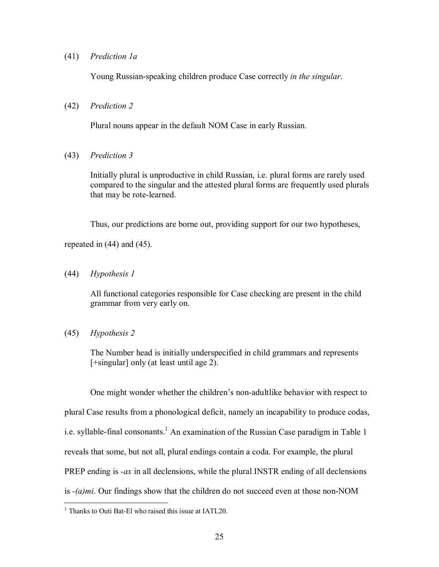### (41) *Prediction 1a*

Young Russian-speaking children produce Case correctly *in the singular*.

#### (42) *Prediction 2*

Plural nouns appear in the default NOM Case in early Russian.

#### (43) *Prediction 3*

Initially plural is unproductive in child Russian, i.e. plural forms are rarely used compared to the singular and the attested plural forms are frequently used plurals that may be rote-learned.

Thus, our predictions are borne out, providing support for our two hypotheses,

repeated in (44) and (45).

(44) *Hypothesis 1*

All functional categories responsible for Case checking are present in the child grammar from very early on.

(45) *Hypothesis 2*

The Number head is initially underspecified in child grammars and represents [+singular] only (at least until age 2).

One might wonder whether the children's non-adultlike behavior with respect to plural Case results from a phonological deficit, namely an incapability to produce codas, i.e. syllable-final consonants.<sup>1</sup> An examination of the Russian Case paradigm in Table 1 reveals that some, but not all, plural endings contain a coda. For example, the plural PREP ending is *-ax* in all declensions, while the plural INSTR ending of all declensions is *-(a)mi*. Our findings show that the children do not succeed even at those non-NOM

 1 Thanks to Outi Bat-El who raised this issue at IATL20.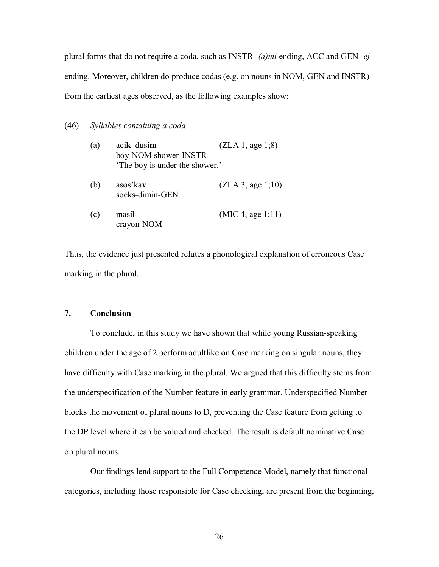plural forms that do not require a coda, such as INSTR *-(a)mi* ending, ACC and GEN *-ej* ending. Moreover, children do produce codas (e.g. on nouns in NOM, GEN and INSTR) from the earliest ages observed, as the following examples show:

### (46) *Syllables containing a coda*

| (a) | acik dusim<br>boy-NOM shower-INSTR<br>'The boy is under the shower.' | (ZLA 1, age 1; 8) |
|-----|----------------------------------------------------------------------|-------------------|
| (b) | asos' kay<br>socks-dimin-GEN                                         | (ZLA 3, age 1;10) |
| (c) | masil<br>crayon-NOM                                                  | (MIC 4, age 1;11) |

Thus, the evidence just presented refutes a phonological explanation of erroneous Case marking in the plural.

## **7. Conclusion**

 To conclude, in this study we have shown that while young Russian-speaking children under the age of 2 perform adultlike on Case marking on singular nouns, they have difficulty with Case marking in the plural. We argued that this difficulty stems from the underspecification of the Number feature in early grammar. Underspecified Number blocks the movement of plural nouns to D, preventing the Case feature from getting to the DP level where it can be valued and checked. The result is default nominative Case on plural nouns.

Our findings lend support to the Full Competence Model, namely that functional categories, including those responsible for Case checking, are present from the beginning,

26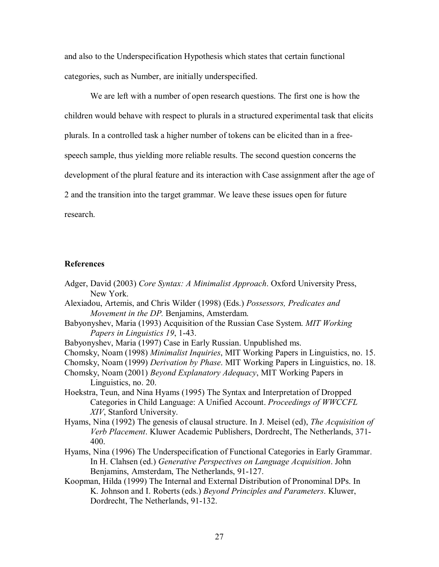and also to the Underspecification Hypothesis which states that certain functional categories, such as Number, are initially underspecified.

 We are left with a number of open research questions. The first one is how the children would behave with respect to plurals in a structured experimental task that elicits plurals. In a controlled task a higher number of tokens can be elicited than in a freespeech sample, thus yielding more reliable results. The second question concerns the development of the plural feature and its interaction with Case assignment after the age of 2 and the transition into the target grammar. We leave these issues open for future research.

### **References**

- Adger, David (2003) *Core Syntax: A Minimalist Approach*. Oxford University Press, New York.
- Alexiadou, Artemis, and Chris Wilder (1998) (Eds.) *Possessors, Predicates and Movement in the DP.* Benjamins, Amsterdam.
- Babyonyshev, Maria (1993) Acquisition of the Russian Case System. *MIT Working Papers in Linguistics 19*, 1-43.
- Babyonyshev, Maria (1997) Case in Early Russian. Unpublished ms.
- Chomsky, Noam (1998) *Minimalist Inquiries*, MIT Working Papers in Linguistics, no. 15.
- Chomsky, Noam (1999) *Derivation by Phase*. MIT Working Papers in Linguistics, no. 18.
- Chomsky, Noam (2001) *Beyond Explanatory Adequacy*, MIT Working Papers in Linguistics, no. 20.
- Hoekstra, Teun, and Nina Hyams (1995) The Syntax and Interpretation of Dropped Categories in Child Language: A Unified Account. *Proceedings of WWCCFL XIV*, Stanford University.
- Hyams, Nina (1992) The genesis of clausal structure. In J. Meisel (ed), *The Acquisition of Verb Placement*. Kluwer Academic Publishers, Dordrecht, The Netherlands, 371- 400.
- Hyams, Nina (1996) The Underspecification of Functional Categories in Early Grammar. In H. Clahsen (ed.) *Generative Perspectives on Language Acquisition*. John Benjamins, Amsterdam, The Netherlands, 91-127.
- Koopman, Hilda (1999) The Internal and External Distribution of Pronominal DPs. In K. Johnson and I. Roberts (eds.) *Beyond Principles and Parameters*. Kluwer, Dordrecht, The Netherlands, 91-132.